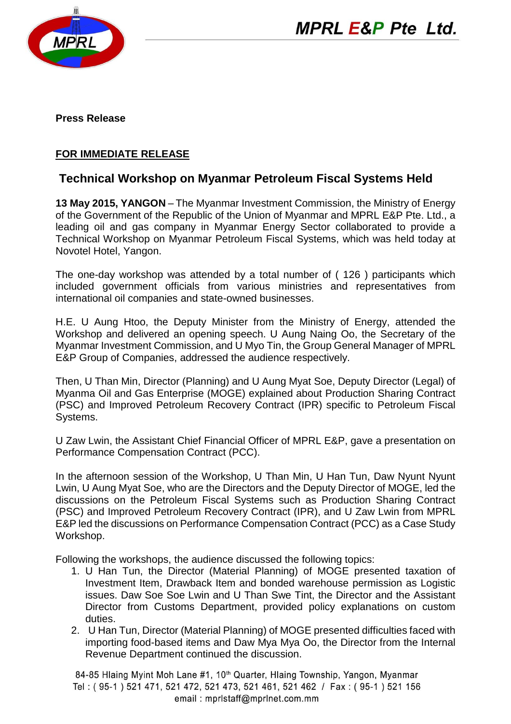

**Press Release**

## **FOR IMMEDIATE RELEASE**

## **Technical Workshop on Myanmar Petroleum Fiscal Systems Held**

**13 May 2015, YANGON** –The Myanmar Investment Commission, the Ministry of Energy of the Government of the Republic of the Union of Myanmar and MPRL E&P Pte. Ltd., a leading oil and gas company in Myanmar Energy Sector collaborated to provide a Technical Workshop on Myanmar Petroleum Fiscal Systems, which was held today at Novotel Hotel, Yangon.

The one-day workshop was attended by a total number of ( 126 ) participants which included government officials from various ministries and representatives from international oil companies and state-owned businesses.

H.E. U Aung Htoo, the Deputy Minister from the Ministry of Energy, attended the Workshop and delivered an opening speech. U Aung Naing Oo, the Secretary of the Myanmar Investment Commission, and U Myo Tin, the Group General Manager of MPRL E&P Group of Companies, addressed the audience respectively.

Then, U Than Min, Director (Planning) and U Aung Myat Soe, Deputy Director (Legal) of Myanma Oil and Gas Enterprise (MOGE) explained about Production Sharing Contract (PSC) and Improved Petroleum Recovery Contract (IPR) specific to Petroleum Fiscal Systems.

U Zaw Lwin, the Assistant Chief Financial Officer of MPRL E&P, gave a presentation on Performance Compensation Contract (PCC).

In the afternoon session of the Workshop, U Than Min, U Han Tun, Daw Nyunt Nyunt Lwin, U Aung Myat Soe, who are the Directors and the Deputy Director of MOGE, led the discussions on the Petroleum Fiscal Systems such as Production Sharing Contract (PSC) and Improved Petroleum Recovery Contract (IPR), and U Zaw Lwin from MPRL E&P led the discussions on Performance Compensation Contract (PCC) as a Case Study Workshop.

Following the workshops, the audience discussed the following topics:

- 1. U Han Tun, the Director (Material Planning) of MOGE presented taxation of Investment Item, Drawback Item and bonded warehouse permission as Logistic issues. Daw Soe Soe Lwin and U Than Swe Tint, the Director and the Assistant Director from Customs Department, provided policy explanations on custom duties.
- 2. U Han Tun, Director (Material Planning) of MOGE presented difficulties faced with importing food-based items and Daw Mya Mya Oo, the Director from the Internal Revenue Department continued the discussion.

84-85 Hlaing Myint Moh Lane #1, 10<sup>th</sup> Quarter, Hlaing Township, Yangon, Myanmar Tel: (95-1) 521 471, 521 472, 521 473, 521 461, 521 462 / Fax: (95-1) 521 156 email: mprlstaff@mprlnet.com.mm